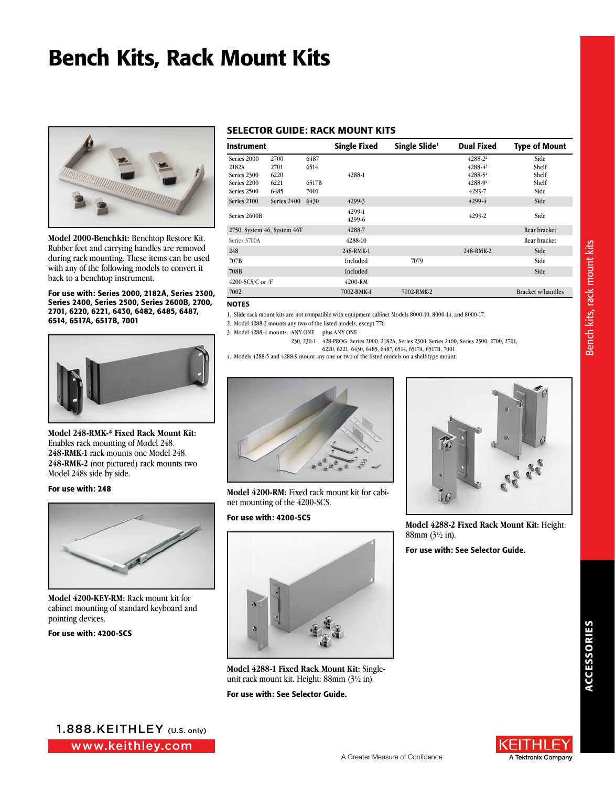# Bench Kits, Rack Mount Kits



**Model 2000-Benchkit:** Benchtop Restore Kit. Rubber feet and carrying handles are removed during rack mounting. These items can be used with any of the following models to convert it back to a benchtop instrument.

For use with: Series 2000, 2182A, Series 2300, Series 2400, Series 2500, Series 2600B, 2700, 2701, 6220, 6221, 6430, 6482, 6485, 6487, 6514, 6517A, 6517B, 7001



**Model 248-RMK-\* Fixed Rack Mount Kit:** Enables rack mounting of Model 248. **248-RMK-1** rack mounts one Model 248. **248-RMK-2** (not pictured) rack mounts two Model 248s side by side.

#### For use with: 248



**Model 4200-KEY-RM:** Rack mount kit for cabinet mounting of standard keyboard and pointing devices.

For use with: 4200-SCS

### SELECTOR GUIDE: RACK MOUNT KITS

| <b>Instrument</b>           |             |       | <b>Single Fixed</b> | Single Slide <sup>1</sup> | <b>Dual Fixed</b> | <b>Type of Mount</b>     |
|-----------------------------|-------------|-------|---------------------|---------------------------|-------------------|--------------------------|
| Series 2000                 | 2700        | 6487  |                     |                           | 4288-22           | Side                     |
| 2182A                       | 2701        | 6514  |                     |                           | $4288 - 43$       | Shelf                    |
| Series 2300                 | 6220        |       | 4288-1              |                           | 4288-54           | Shelf                    |
| Series 2200                 | 6221        | 6517B |                     |                           | 4288-94           | Shelf                    |
| Series 2500                 | 6485        | 7001  |                     |                           | 4299-7            | Side                     |
| Series 2100                 | Series 2400 | 6430  | 4299-3              |                           | 4299-4            | Side                     |
| Series 2600B                |             |       | 4299-1<br>4299-6    |                           | 4299-2            | Side                     |
| 2750, System 46, System 46T |             |       | 4288-7              |                           |                   | Rear bracket             |
| Series 3700A                |             |       | 4288-10             |                           |                   | Rear bracket             |
| 248                         |             |       | 248-RMK-1           |                           | 248-RMK-2         | Side                     |
| 707B                        |             |       | Included            | 7079                      |                   | Side                     |
| 708B                        |             |       | Included            |                           |                   | Side                     |
| $4200-SCS/C$ or $/F$        |             |       | 4200-RM             |                           |                   |                          |
| 7002                        |             |       | 7002-RMK-1          | 7002-RMK-2                |                   | <b>Bracket w/handles</b> |

#### **NOTES**

1. Slide rack mount kits are not compatible with equipment cabinet Models 8000-10, 8000-14, and 8000-17.

2. Model 4288-2 mounts any two of the listed models, except 776.

- 3. Model 4288-4 mounts: ANY ONE plus ANY ONE
	- 230, 230-1 428-PROG, Series 2000, 2182A, Series 2300, Series 2400, Series 2500, 2700, 2701, 6220, 6221, 6430, 6485, 6487, 6514, 6517A, 6517B, 7001
		-





**Model 4200-RM:** Fixed rack mount kit for cabinet mounting of the 4200-SCS.

#### For use with: 4200-SCS



**Model 4288-1 Fixed Rack Mount Kit:** Singleunit rack mount kit. Height: 88mm (3½ in).

For use with: See Selector Guide.



**Model 4288-2 Fixed Rack Mount Kit:** Height: 88mm (3½ in).

For use with: See Selector Guide.

Bench kits, rack mount kits Bench kits, rack mount kits

www.keithley.com 1.888.KEITHLEY (U.S. only)

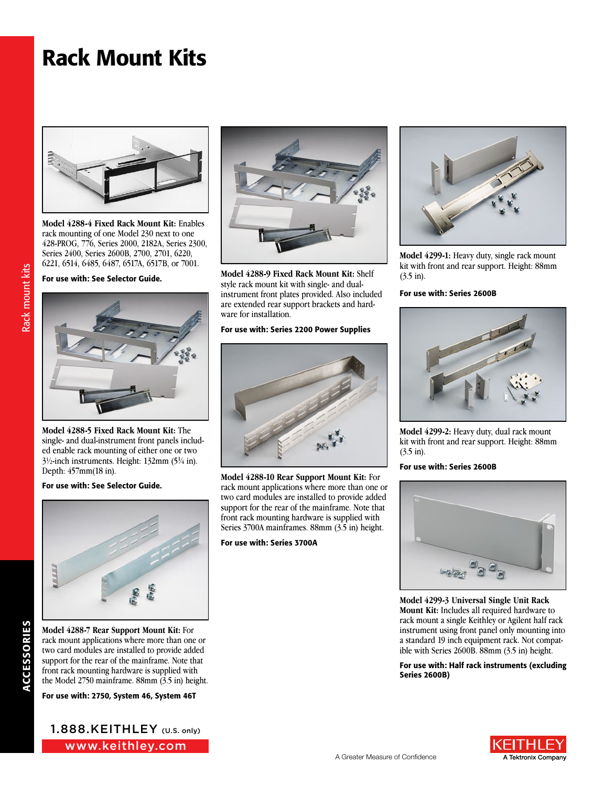# Rack Mount Kits



**Model 4288-4 Fixed Rack Mount Kit:** Enables rack mounting of one Model 230 next to one 428-PROG, 776, Series 2000, 2182A, Series 2300, Series 2400, Series 2600B, 2700, 2701, 6220, 6221, 6514, 6485, 6487, 6517A, 6517B, or 7001.

For use with: See Selector Guide.



**Model 4288-5 Fixed Rack Mount Kit:** The single- and dual-instrument front panels included enable rack mounting of either one or two 3½-inch instruments. Height: 132mm (51 ⁄4 in). Depth: 457mm(18 in).

For use with: See Selector Guide.



**Model 4288-7 Rear Support Mount Kit:** For rack mount applications where more than one or two card modules are installed to provide added support for the rear of the mainframe. Note that front rack mounting hardware is supplied with the Model 2750 mainframe. 88mm (3.5 in) height.

ACCESSORIES

**ACCESSORIES** 

Rack mount kits Rack mount kits

For use with: 2750, System 46, System 46T

www.keithley.com 1.888.KEITHLEY (U.S. only)



**Model 4288-9 Fixed Rack Mount Kit:** Shelf style rack mount kit with single- and dualinstrument front plates provided. Also included are extended rear support brackets and hardware for installation.

### For use with: Series 2200 Power Supplies



**Model 4288-10 Rear Support Mount Kit:** For rack mount applications where more than one or two card modules are installed to provide added support for the rear of the mainframe. Note that front rack mounting hardware is supplied with Series 3700A mainframes. 88mm (3.5 in) height.

For use with: Series 3700A



**Model 4299-1:** Heavy duty, single rack mount kit with front and rear support. Height: 88mm (3.5 in).

### For use with: Series 2600B



**Model 4299-2:** Heavy duty, dual rack mount kit with front and rear support. Height: 88mm (3.5 in).

#### For use with: Series 2600B



**Model 4299-3 Universal Single Unit Rack Mount Kit:** Includes all required hardware to rack mount a single Keithley or Agilent half rack instrument using front panel only mounting into a standard 19 inch equipment rack. Not compatible with Series 2600B. 88mm (3.5 in) height.

For use with: Half rack instruments (excluding Series 2600B)